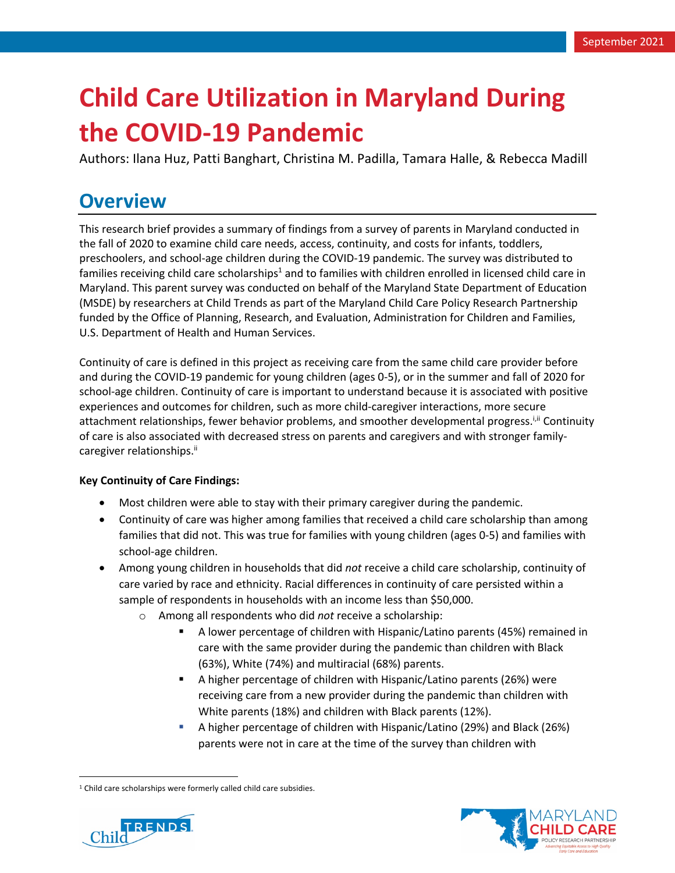# **Child Care Utilization in Maryland During the COVID-19 Pandemic**

Authors: Ilana Huz, Patti Banghart, Christina M. Padilla, Tamara Halle, & Rebecca Madill

# **Overview**

This research brief provides a summary of findings from a survey of parents in Maryland conducted in the fall of 2020 to examine child care needs, access, continuity, and costs for infants, toddlers, preschoolers, and school-age children during the COVID-19 pandemic. The survey was distributed to families receiving child care scholarships<sup>1</sup> and to families with children enrolled in licensed child care in Maryland. This parent survey was conducted on behalf of the Maryland State Department of Education (MSDE) by researchers at Child Trends as part of the Maryland Child Care Policy Research Partnership funded by the Office of Planning, Research, and Evaluation, Administration for Children and Families, U.S. Department of Health and Human Services.

Continuity of care is defined in this project as receiving care from the same child care provider before and during the COVID-19 pandemic for young children (ages 0-5), or in the summer and fall of 2020 for school-age children. Continuity of care is important to understand because it is associated with positive experiences and outcomes for children, such as more child-caregiver interactions, more secure attachment relationships, fewer behavior problems, and smoother developmental progress.<sup>[Jit</sup> Continuity of care is also associated with decreased stress on parents and caregivers and with stronger familycaregiver relationships.<sup>ii</sup>

#### **Key Continuity of Care Findings:**

- Most children were able to stay with their primary caregiver during the pandemic.
- Continuity of care was higher among families that received a child care scholarship than among families that did not. This was true for families with young children (ages 0-5) and families with school-age children.
- Among young children in households that did *not* receive a child care scholarship, continuity of care varied by race and ethnicity. Racial differences in continuity of care persisted within a sample of respondents in households with an income less than \$50,000.
	- o Among all respondents who did *not* receive a scholarship:
		- § A lower percentage of children with Hispanic/Latino parents (45%) remained in care with the same provider during the pandemic than children with Black (63%), White (74%) and multiracial (68%) parents.
		- § A higher percentage of children with Hispanic/Latino parents (26%) were receiving care from a new provider during the pandemic than children with White parents (18%) and children with Black parents (12%).
		- § A higher percentage of children with Hispanic/Latino (29%) and Black (26%) parents were not in care at the time of the survey than children with





<sup>&</sup>lt;sup>1</sup> Child care scholarships were formerly called child care subsidies.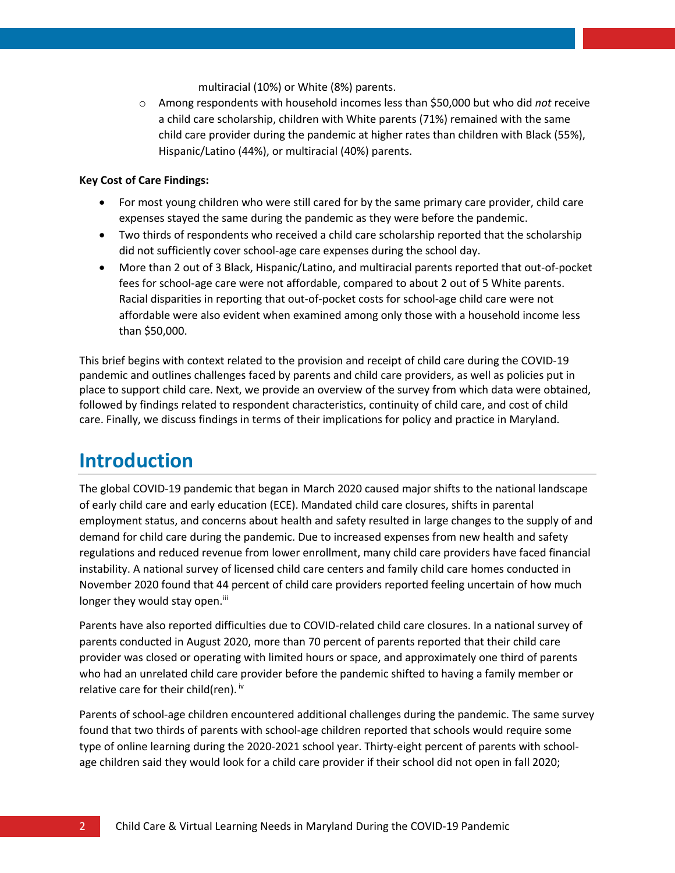multiracial (10%) or White (8%) parents.

o Among respondents with household incomes less than \$50,000 but who did *not* receive a child care scholarship, children with White parents (71%) remained with the same child care provider during the pandemic at higher rates than children with Black (55%), Hispanic/Latino (44%), or multiracial (40%) parents.

#### **Key Cost of Care Findings:**

- For most young children who were still cared for by the same primary care provider, child care expenses stayed the same during the pandemic as they were before the pandemic.
- Two thirds of respondents who received a child care scholarship reported that the scholarship did not sufficiently cover school-age care expenses during the school day.
- More than 2 out of 3 Black, Hispanic/Latino, and multiracial parents reported that out-of-pocket fees for school-age care were not affordable, compared to about 2 out of 5 White parents. Racial disparities in reporting that out-of-pocket costs for school-age child care were not affordable were also evident when examined among only those with a household income less than \$50,000.

This brief begins with context related to the provision and receipt of child care during the COVID-19 pandemic and outlines challenges faced by parents and child care providers, as well as policies put in place to support child care. Next, we provide an overview of the survey from which data were obtained, followed by findings related to respondent characteristics, continuity of child care, and cost of child care. Finally, we discuss findings in terms of their implications for policy and practice in Maryland.

# **Introduction**

The global COVID-19 pandemic that began in March 2020 caused major shifts to the national landscape of early child care and early education (ECE). Mandated child care closures, shifts in parental employment status, and concerns about health and safety resulted in large changes to the supply of and demand for child care during the pandemic. Due to increased expenses from new health and safety regulations and reduced revenue from lower enrollment, many child care providers have faced financial instability. A national survey of licensed child care centers and family child care homes conducted in November 2020 found that 44 percent of child care providers reported feeling uncertain of how much longer they would stay open.<sup>iii</sup>

Parents have also reported difficulties due to COVID-related child care closures. In a national survey of parents conducted in August 2020, more than 70 percent of parents reported that their child care provider was closed or operating with limited hours or space, and approximately one third of parents who had an unrelated child care provider before the pandemic shifted to having a family member or relative care for their child(ren).  $iv$ 

Parents of school-age children encountered additional challenges during the pandemic. The same survey found that two thirds of parents with school-age children reported that schools would require some type of online learning during the 2020-2021 school year. Thirty-eight percent of parents with schoolage children said they would look for a child care provider if their school did not open in fall 2020;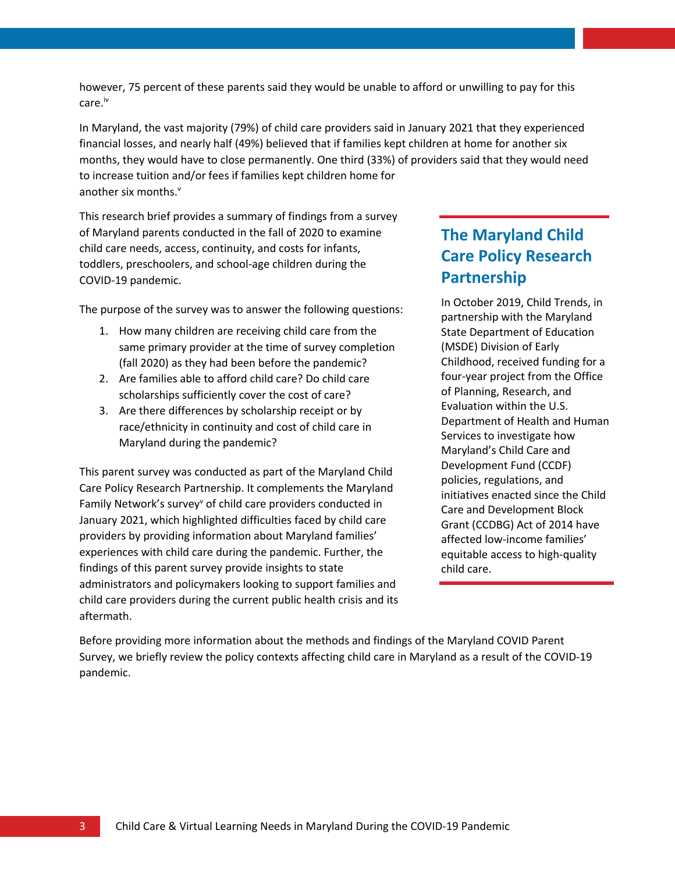however, 75 percent of these parents said they would be unable to afford or unwilling to pay for this care.iv

In Maryland, the vast majority (79%) of child care providers said in January 2021 that they experienced financial losses, and nearly half (49%) believed that if families kept children at home for another six months, they would have to close permanently. One third (33%) of providers said that they would need to increase tuition and/or fees if families kept children home for another six months. v

This research brief provides a summary of findings from a survey of Maryland parents conducted in the fall of 2020 to examine child care needs, access, continuity, and costs for infants, toddlers, preschoolers, and school-age children during the COVID-19 pandemic.

The purpose of the survey was to answer the following questions:

- 1. How many children are receiving child care from the same primary provider at the time of survey completion (fall 2020) as they had been before the pandemic?
- 2. Are families able to afford child care? Do child care scholarships sufficiently cover the cost of care?
- 3. Are there differences by scholarship receipt or by race/ethnicity in continuity and cost of child care in Maryland during the pandemic?

This parent survey was conducted as part of the Maryland Child Care Policy Research Partnership. It complements the Maryland Family Network's survey<sup>v</sup> of child care providers conducted in January 2021, which highlighted difficulties faced by child care providers by providing information about Maryland families' experiences with child care during the pandemic. Further, the findings of this parent survey provide insights to state administrators and policymakers looking to support families and child care providers during the current public health crisis and its aftermath.

# **The Maryland Child Care Policy Research Partnership**

In October 2019, Child Trends, in partnership with the Maryland State Department of Education (MSDE) Division of Early Childhood, received funding for a four-year project from the Office of Planning, Research, and Evaluation within the U.S. Department of Health and Human Services to investigate how Maryland's Child Care and Development Fund (CCDF) policies, regulations, and initiatives enacted since the Child Care and Development Block Grant (CCDBG) Act of 2014 have affected low-income families' equitable access to high-quality child care.

Before providing more information about the methods and findings of the Maryland COVID Parent Survey, we briefly review the policy contexts affecting child care in Maryland as a result of the COVID-19 pandemic.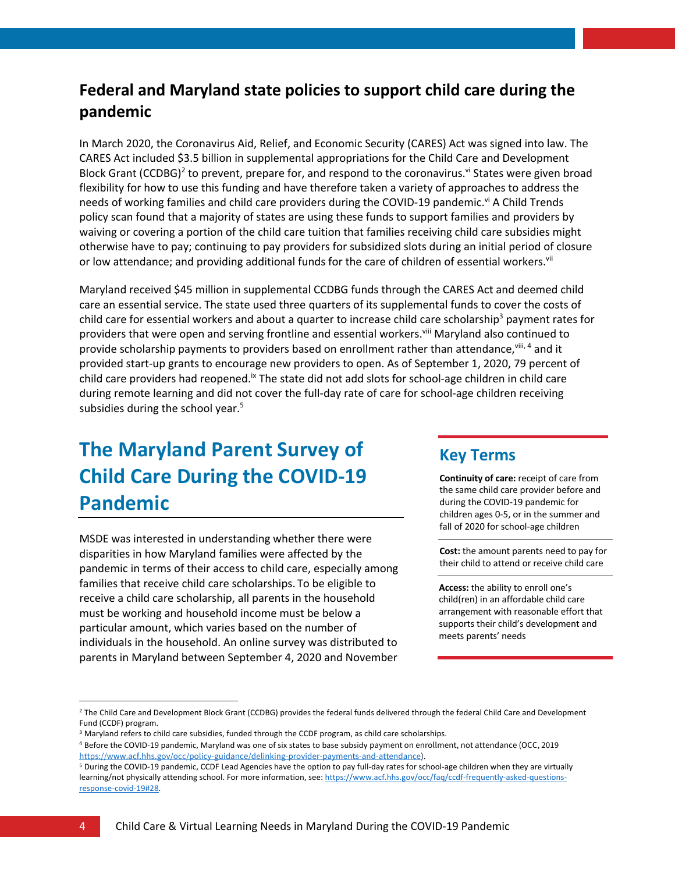# **Federal and Maryland state policies to support child care during the pandemic**

In March 2020, the Coronavirus Aid, Relief, and Economic Security (CARES) Act was signed into law. The CARES Act included \$3.5 billion in supplemental appropriations for the Child Care and Development Block Grant (CCDBG)<sup>2</sup> to prevent, prepare for, and respond to the coronavirus.<sup>vi</sup> States were given broad flexibility for how to use this funding and have therefore taken a variety of approaches to address the needs of working families and child care providers during the COVID-19 pandemic.<sup>vi</sup> A Child Trends policy scan found that a majority of states are using these funds to support families and providers by waiving or covering a portion of the child care tuition that families receiving child care subsidies might otherwise have to pay; continuing to pay providers for subsidized slots during an initial period of closure or low attendance; and providing additional funds for the care of children of essential workers.<sup>vii</sup>

Maryland received \$45 million in supplemental CCDBG funds through the CARES Act and deemed child care an essential service. The state used three quarters of its supplemental funds to cover the costs of child care for essential workers and about a quarter to increase child care scholarship<sup>3</sup> payment rates for providers that were open and serving frontline and essential workers.<sup>viii</sup> Maryland also continued to provide scholarship payments to providers based on enrollment rather than attendance, <sup>viii, 4</sup> and it provided start-up grants to encourage new providers to open. As of September 1, 2020, 79 percent of child care providers had reopened.<sup>ix</sup> The state did not add slots for school-age children in child care during remote learning and did not cover the full-day rate of care for school-age children receiving subsidies during the school year.<sup>5</sup>

# **The Maryland Parent Survey of Child Care During the COVID-19 Pandemic**

MSDE was interested in understanding whether there were disparities in how Maryland families were affected by the pandemic in terms of their access to child care, especially among families that receive child care scholarships. To be eligible to receive a child care scholarship, all parents in the household must be working and household income must be below a particular amount, which varies based on the number of individuals in the household. An online survey was distributed to parents in Maryland between September 4, 2020 and November

#### **Key Terms**

**Continuity of care:** receipt of care from the same child care provider before and during the COVID-19 pandemic for children ages 0-5, or in the summer and fall of 2020 for school-age children

**Cost:** the amount parents need to pay for their child to attend or receive child care

**Access:** the ability to enroll one's child(ren) in an affordable child care arrangement with reasonable effort that supports their child's development and meets parents' needs

<sup>&</sup>lt;sup>2</sup> The Child Care and Development Block Grant (CCDBG) provides the federal funds delivered through the federal Child Care and Development Fund (CCDF) program.

<sup>&</sup>lt;sup>3</sup> Maryland refers to child care subsidies, funded through the CCDF program, as child care scholarships.<br><sup>4</sup> Before the COVID-19 pandemic, Maryland was one of six states to base subsidy payment on enrollment, not attendan https://www.acf.hhs.gov/occ/policy-guidance/delinking-provider-payments-and-attendance).

<sup>5</sup> During the COVID-19 pandemic, CCDF Lead Agencies have the option to pay full-day rates for school-age children when they are virtually learning/not physically attending school. For more information, see: https://www.acf.hhs.gov/occ/faq/ccdf-frequently-asked-questionsresponse-covid-19#28.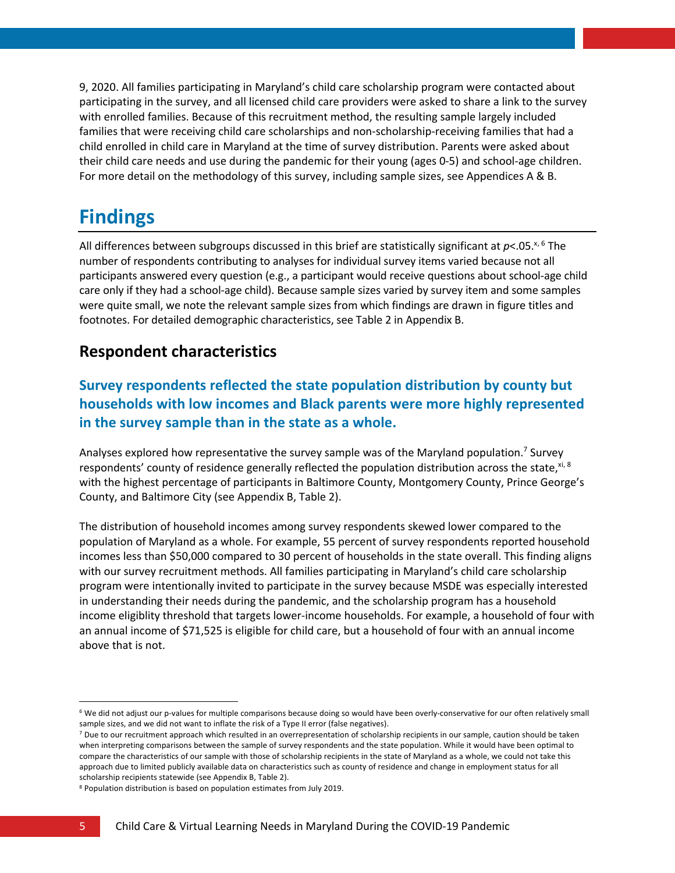9, 2020. All families participating in Maryland's child care scholarship program were contacted about participating in the survey, and all licensed child care providers were asked to share a link to the survey with enrolled families. Because of this recruitment method, the resulting sample largely included families that were receiving child care scholarships and non-scholarship-receiving families that had a child enrolled in child care in Maryland at the time of survey distribution. Parents were asked about their child care needs and use during the pandemic for their young (ages 0-5) and school-age children. For more detail on the methodology of this survey, including sample sizes, see Appendices A & B.

# **Findings**

All differences between subgroups discussed in this brief are statistically significant at  $p<$ .05.<sup>x, 6</sup> The number of respondents contributing to analyses for individual survey items varied because not all participants answered every question (e.g., a participant would receive questions about school-age child care only if they had a school-age child). Because sample sizes varied by survey item and some samples were quite small, we note the relevant sample sizes from which findings are drawn in figure titles and footnotes. For detailed demographic characteristics, see Table 2 in Appendix B.

### **Respondent characteristics**

#### **Survey respondents reflected the state population distribution by county but households with low incomes and Black parents were more highly represented in the survey sample than in the state as a whole.**

Analyses explored how representative the survey sample was of the Maryland population.<sup>7</sup> Survey respondents' county of residence generally reflected the population distribution across the state, xi, 8 with the highest percentage of participants in Baltimore County, Montgomery County, Prince George's County, and Baltimore City (see Appendix B, Table 2).

The distribution of household incomes among survey respondents skewed lower compared to the population of Maryland as a whole. For example, 55 percent of survey respondents reported household incomes less than \$50,000 compared to 30 percent of households in the state overall. This finding aligns with our survey recruitment methods. All families participating in Maryland's child care scholarship program were intentionally invited to participate in the survey because MSDE was especially interested in understanding their needs during the pandemic, and the scholarship program has a household income eligiblity threshold that targets lower-income households. For example, a household of four with an annual income of \$71,525 is eligible for child care, but a household of four with an annual income above that is not.

<sup>&</sup>lt;sup>6</sup> We did not adjust our p-values for multiple comparisons because doing so would have been overly-conservative for our often relatively small sample sizes, and we did not want to inflate the risk of a Type II error (false negatives).

<sup>7</sup> Due to our recruitment approach which resulted in an overrepresentation of scholarship recipients in our sample, caution should be taken when interpreting comparisons between the sample of survey respondents and the state population. While it would have been optimal to compare the characteristics of our sample with those of scholarship recipients in the state of Maryland as a whole, we could not take this approach due to limited publicly available data on characteristics such as county of residence and change in employment status for all

scholarship recipients statewide (see Appendix B, Table 2).<br><sup>8</sup> Population distribution is based on population estimates from July 2019.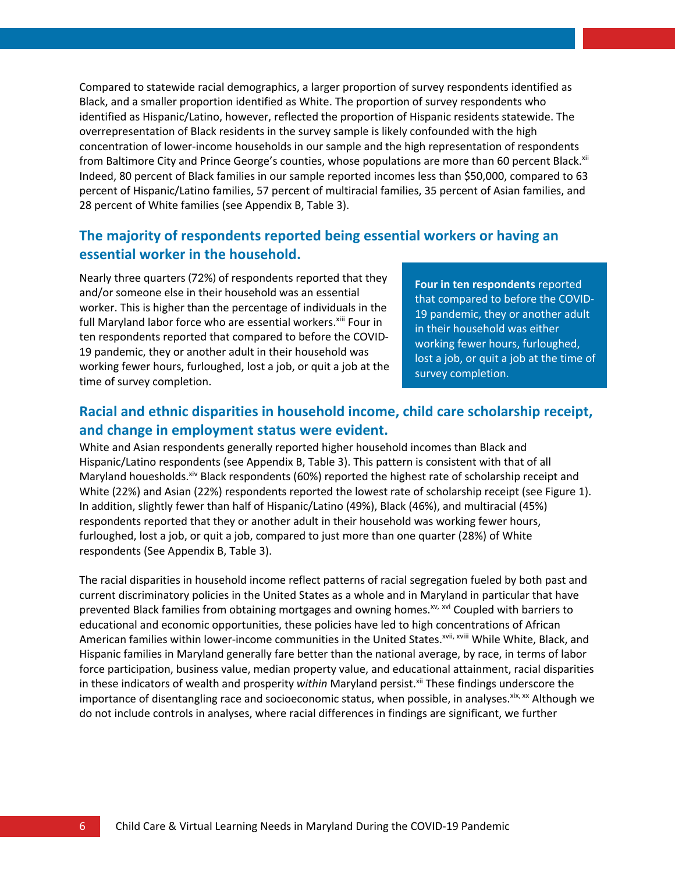Compared to statewide racial demographics, a larger proportion of survey respondents identified as Black, and a smaller proportion identified as White. The proportion of survey respondents who identified as Hispanic/Latino, however, reflected the proportion of Hispanic residents statewide. The overrepresentation of Black residents in the survey sample is likely confounded with the high concentration of lower-income households in our sample and the high representation of respondents from Baltimore City and Prince George's counties, whose populations are more than 60 percent Black.<sup>xii</sup> Indeed, 80 percent of Black families in our sample reported incomes less than \$50,000, compared to 63 percent of Hispanic/Latino families, 57 percent of multiracial families, 35 percent of Asian families, and 28 percent of White families (see Appendix B, Table 3).

#### **The majority of respondents reported being essential workers or having an essential worker in the household.**

Nearly three quarters (72%) of respondents reported that they and/or someone else in their household was an essential worker. This is higher than the percentage of individuals in the full Maryland labor force who are essential workers.<sup>xiii</sup> Four in ten respondents reported that compared to before the COVID-19 pandemic, they or another adult in their household was working fewer hours, furloughed, lost a job, or quit a job at the time of survey completion.

**Four in ten respondents** reported that compared to before the COVID-19 pandemic, they or another adult in their household was either working fewer hours, furloughed, lost a job, or quit a job at the time of survey completion.

#### **Racial and ethnic disparities in household income, child care scholarship receipt, and change in employment status were evident.**

White and Asian respondents generally reported higher household incomes than Black and Hispanic/Latino respondents (see Appendix B, Table 3). This pattern is consistent with that of all Maryland houesholds.<sup>xiv</sup> Black respondents (60%) reported the highest rate of scholarship receipt and White (22%) and Asian (22%) respondents reported the lowest rate of scholarship receipt (see Figure 1). In addition, slightly fewer than half of Hispanic/Latino (49%), Black (46%), and multiracial (45%) respondents reported that they or another adult in their household was working fewer hours, furloughed, lost a job, or quit a job, compared to just more than one quarter (28%) of White respondents (See Appendix B, Table 3).

The racial disparities in household income reflect patterns of racial segregation fueled by both past and current discriminatory policies in the United States as a whole and in Maryland in particular that have prevented Black families from obtaining mortgages and owning homes.<sup>xv, xvi</sup> Coupled with barriers to educational and economic opportunities, these policies have led to high concentrations of African American families within lower-income communities in the United States.<sup>xvii, xviii</sup> While White, Black, and Hispanic families in Maryland generally fare better than the national average, by race, in terms of labor force participation, business value, median property value, and educational attainment, racial disparities in these indicators of wealth and prosperity within Maryland persist.<sup>xii</sup> These findings underscore the importance of disentangling race and socioeconomic status, when possible, in analyses. <sup>xix, xx</sup> Although we do not include controls in analyses, where racial differences in findings are significant, we further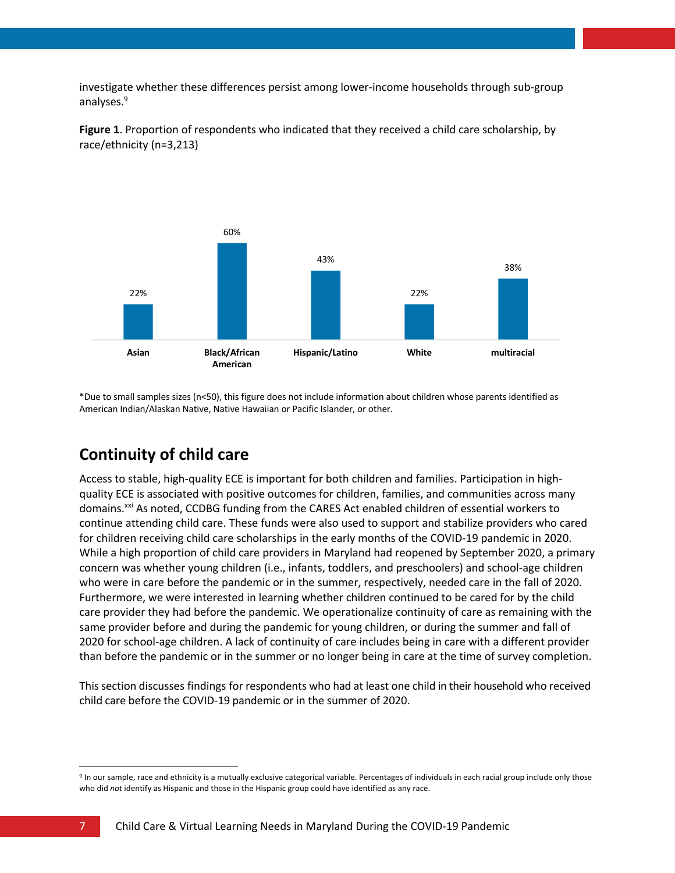investigate whether these differences persist among lower-income households through sub-group analyses. 9



**Figure 1**. Proportion of respondents who indicated that they received a child care scholarship, by race/ethnicity (n=3,213)

\*Due to small samples sizes (n<50), this figure does not include information about children whose parents identified as American Indian/Alaskan Native, Native Hawaiian or Pacific Islander, or other.

### **Continuity of child care**

Access to stable, high-quality ECE is important for both children and families. Participation in highquality ECE is associated with positive outcomes for children, families, and communities across many domains.<sup>xxi</sup> As noted, CCDBG funding from the CARES Act enabled children of essential workers to continue attending child care. These funds were also used to support and stabilize providers who cared for children receiving child care scholarships in the early months of the COVID-19 pandemic in 2020. While a high proportion of child care providers in Maryland had reopened by September 2020, a primary concern was whether young children (i.e., infants, toddlers, and preschoolers) and school-age children who were in care before the pandemic or in the summer, respectively, needed care in the fall of 2020. Furthermore, we were interested in learning whether children continued to be cared for by the child care provider they had before the pandemic. We operationalize continuity of care as remaining with the same provider before and during the pandemic for young children, or during the summer and fall of 2020 for school-age children. A lack of continuity of care includes being in care with a different provider than before the pandemic or in the summer or no longer being in care at the time of survey completion.

Thissection discusses findings for respondents who had at least one child in their household who received child care before the COVID-19 pandemic or in the summer of 2020.

<sup>&</sup>lt;sup>9</sup> In our sample, race and ethnicity is a mutually exclusive categorical variable. Percentages of individuals in each racial group include only those who did *not* identify as Hispanic and those in the Hispanic group could have identified as any race.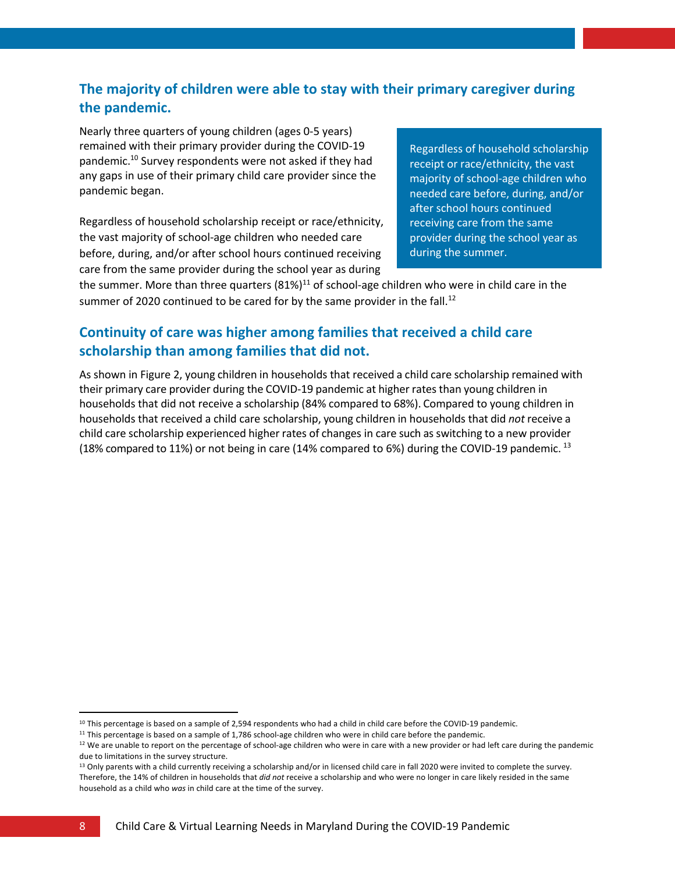#### **The majority of children were able to stay with their primary caregiver during the pandemic.**

Nearly three quarters of young children (ages 0-5 years) remained with their primary provider during the COVID-19 pandemic. <sup>10</sup> Survey respondents were not asked if they had any gaps in use of their primary child care provider since the pandemic began.

Regardless of household scholarship receipt or race/ethnicity, the vast majority of school-age children who needed care before, during, and/or after school hours continued receiving care from the same provider during the school year as during

Regardless of household scholarship receipt or race/ethnicity, the vast majority of school-age children who needed care before, during, and/or after school hours continued receiving care from the same provider during the school year as during the summer.

the summer. More than three quarters  $(81\%)^{11}$  of school-age children who were in child care in the summer of 2020 continued to be cared for by the same provider in the fall.<sup>12</sup>

#### **Continuity of care was higher among families that received a child care scholarship than among families that did not.**

As shown in Figure 2, young children in households that received a child care scholarship remained with their primary care provider during the COVID-19 pandemic at higher ratesthan young children in households that did not receive a scholarship (84% compared to 68%). Compared to young children in households that received a child care scholarship, young children in households that did *not* receive a child care scholarship experienced higher rates of changes in care such asswitching to a new provider (18% compared to 11%) or not being in care (14% compared to 6%) during the COVID-19 pandemic. <sup>13</sup>

 $10$  This percentage is based on a sample of 2,594 respondents who had a child in child care before the COVID-19 pandemic.

<sup>&</sup>lt;sup>11</sup> This percentage is based on a sample of 1,786 school-age children who were in child care before the pandemic.

 $12$  We are unable to report on the percentage of school-age children who were in care with a new provider or had left care during the pandemic due to limitations in the survey structure.

<sup>&</sup>lt;sup>13</sup> Only parents with a child currently receiving a scholarship and/or in licensed child care in fall 2020 were invited to complete the survey. Therefore, the 14% of children in households that *did not* receive a scholarship and who were no longer in care likely resided in the same household as a child who *was* in child care at the time of the survey.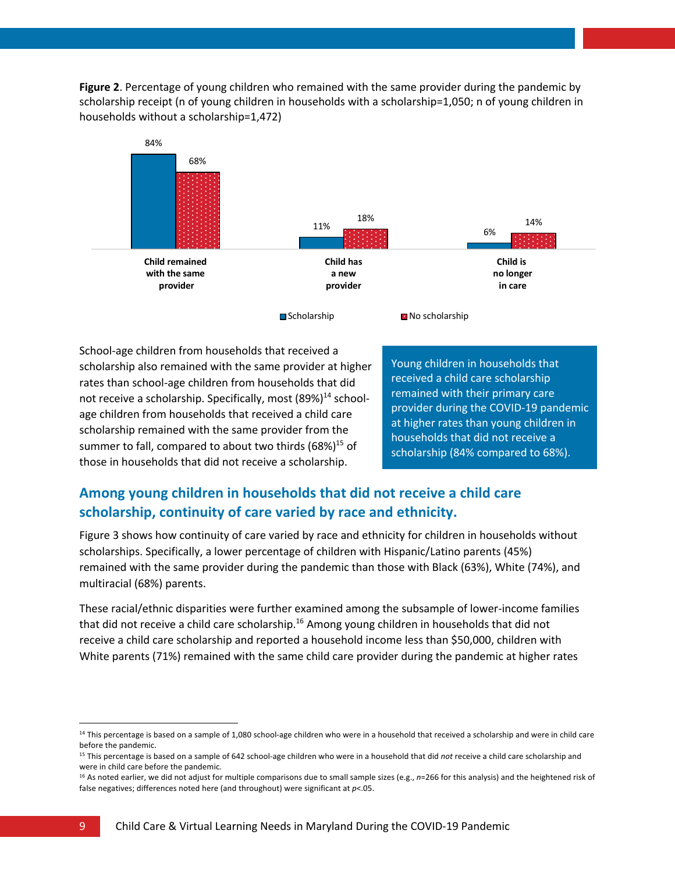**Figure 2**. Percentage of young children who remained with the same provider during the pandemic by scholarship receipt (n of young children in households with a scholarship=1,050; n of young children in households without a scholarship=1,472)



School-age children from households that received a scholarship also remained with the same provider at higher rates than school-age children from households that did not receive a scholarship. Specifically, most (89%)<sup>14</sup> schoolage children from households that received a child care scholarship remained with the same provider from the summer to fall, compared to about two thirds  $(68\%)^{15}$  of those in households that did not receive a scholarship.

Young children in households that received a child care scholarship remained with their primary care provider during the COVID-19 pandemic at higher rates than young children in households that did not receive a scholarship (84% compared to 68%).

#### **Among young children in households that did not receive a child care scholarship, continuity of care varied by race and ethnicity.**

Figure 3 shows how continuity of care varied by race and ethnicity for children in households without scholarships. Specifically, a lower percentage of children with Hispanic/Latino parents (45%) remained with the same provider during the pandemic than those with Black (63%), White (74%), and multiracial (68%) parents.

These racial/ethnic disparities were further examined among the subsample of lower-income families that did not receive a child care scholarship.<sup>16</sup> Among young children in households that did not receive a child care scholarship and reported a household income less than \$50,000, children with White parents (71%) remained with the same child care provider during the pandemic at higher rates

<sup>&</sup>lt;sup>14</sup> This percentage is based on a sample of 1,080 school-age children who were in a household that received a scholarship and were in child care before the pandemic.

<sup>15</sup> This percentage is based on a sample of 642 school-age children who were in a household that did *not* receive a child care scholarship and were in child care before the pandemic.

<sup>16</sup> As noted earlier, we did not adjust for multiple comparisons due to small sample sizes (e.g., *n*=266 for this analysis) and the heightened risk of false negatives; differences noted here (and throughout) were significant at *p*<.05.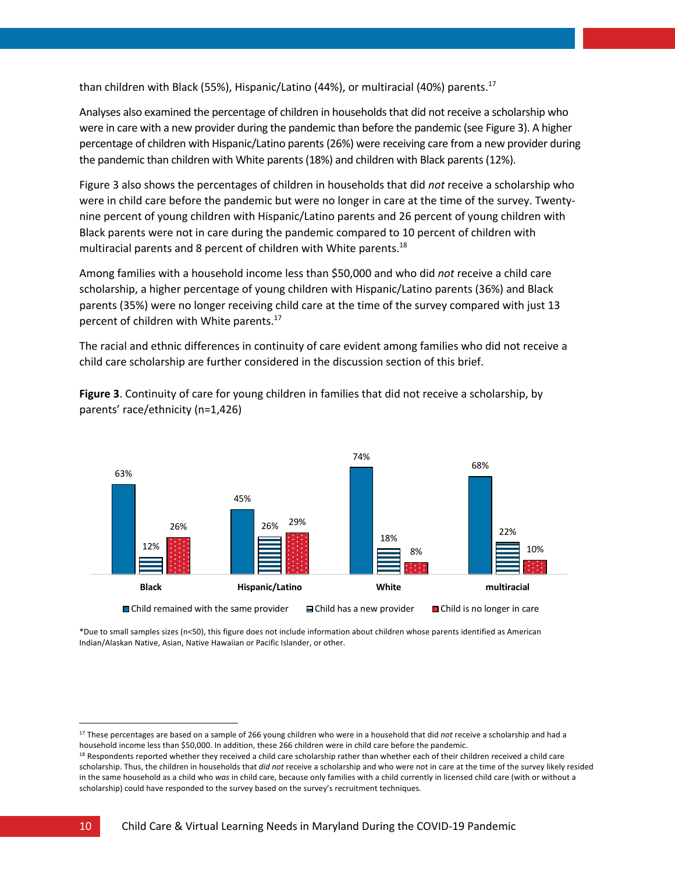than children with Black (55%), Hispanic/Latino (44%), or multiracial (40%) parents.<sup>17</sup>

Analyses also examined the percentage of children in households that did not receive a scholarship who were in care with a new provider during the pandemic than before the pandemic (see Figure 3). A higher percentage of children with Hispanic/Latino parents (26%) were receiving care from a new provider during the pandemic than children with White parents (18%) and children with Black parents (12%).

Figure 3 also shows the percentages of children in households that did *not* receive a scholarship who were in child care before the pandemic but were no longer in care at the time of the survey. Twentynine percent of young children with Hispanic/Latino parents and 26 percent of young children with Black parents were not in care during the pandemic compared to 10 percent of children with multiracial parents and 8 percent of children with White parents.<sup>18</sup>

Among families with a household income less than \$50,000 and who did *not* receive a child care scholarship, a higher percentage of young children with Hispanic/Latino parents (36%) and Black parents (35%) were no longer receiving child care at the time of the survey compared with just 13 percent of children with White parents.<sup>17</sup>

The racial and ethnic differences in continuity of care evident among families who did not receive a child care scholarship are further considered in the discussion section of this brief.

**Figure 3**. Continuity of care for young children in families that did not receive a scholarship, by parents' race/ethnicity (n=1,426)



\*Due to small samples sizes (n<50), this figure does not include information about children whose parents identified as American Indian/Alaskan Native, Asian, Native Hawaiian or Pacific Islander, or other.

<sup>17</sup> These percentages are based on a sample of 266 young children who were in a household that did *not* receive a scholarship and had a household income less than \$50,000. In addition, these 266 children were in child care before the pandemic.

<sup>18</sup> Respondents reported whether they received a child care scholarship rather than whether each of their children received a child care scholarship. Thus, the children in households that *did not* receive a scholarship and who were not in care at the time of the survey likely resided in the same household as a child who *was* in child care, because only families with a child currently in licensed child care (with or without a scholarship) could have responded to the survey based on the survey's recruitment techniques.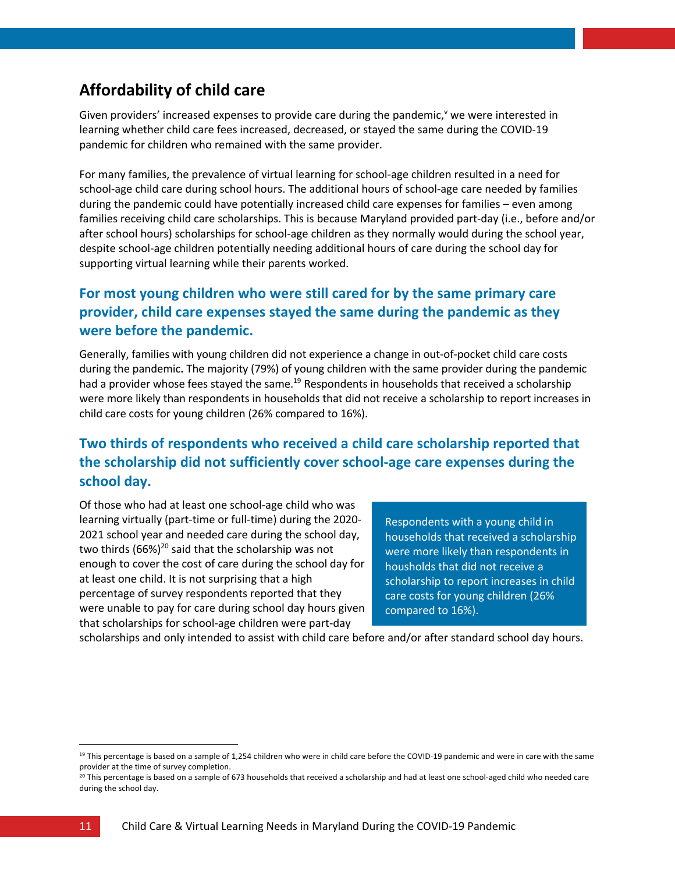### **Affordability of child care**

Given providers' increased expenses to provide care during the pandemic, we were interested in learning whether child care fees increased, decreased, or stayed the same during the COVID-19 pandemic for children who remained with the same provider.

For many families, the prevalence of virtual learning for school-age children resulted in a need for school-age child care during school hours. The additional hours of school-age care needed by families during the pandemic could have potentially increased child care expenses for families – even among families receiving child care scholarships. This is because Maryland provided part-day (i.e., before and/or after school hours) scholarships for school-age children as they normally would during the school year, despite school-age children potentially needing additional hours of care during the school day for supporting virtual learning while their parents worked.

#### **For most young children who were still cared for by the same primary care provider, child care expenses stayed the same during the pandemic as they were before the pandemic.**

Generally, families with young children did not experience a change in out-of-pocket child care costs during the pandemic**.** The majority (79%) of young children with the same provider during the pandemic had a provider whose fees stayed the same.<sup>19</sup> Respondents in households that received a scholarship were more likely than respondents in households that did not receive a scholarship to report increases in child care costs for young children (26% compared to 16%).

### **Two thirds of respondents who received a child care scholarship reported that the scholarship did not sufficiently cover school-age care expenses during the school day.**

Of those who had at least one school-age child who was learning virtually (part-time or full-time) during the 2020- 2021 school year and needed care during the school day, two thirds  $(66%)^{20}$  said that the scholarship was not enough to cover the cost of care during the school day for at least one child. It is not surprising that a high percentage of survey respondents reported that they were unable to pay for care during school day hours given that scholarships for school-age children were part-day

Respondents with a young child in households that received a scholarship were more likely than respondents in housholds that did not receive a scholarship to report increases in child care costs for young children (26% compared to 16%).

scholarships and only intended to assist with child care before and/or after standard school day hours.

<sup>&</sup>lt;sup>19</sup> This percentage is based on a sample of 1,254 children who were in child care before the COVID-19 pandemic and were in care with the same provider at the time of survey completion.

<sup>&</sup>lt;sup>20</sup> This percentage is based on a sample of 673 households that received a scholarship and had at least one school-aged child who needed care during the school day.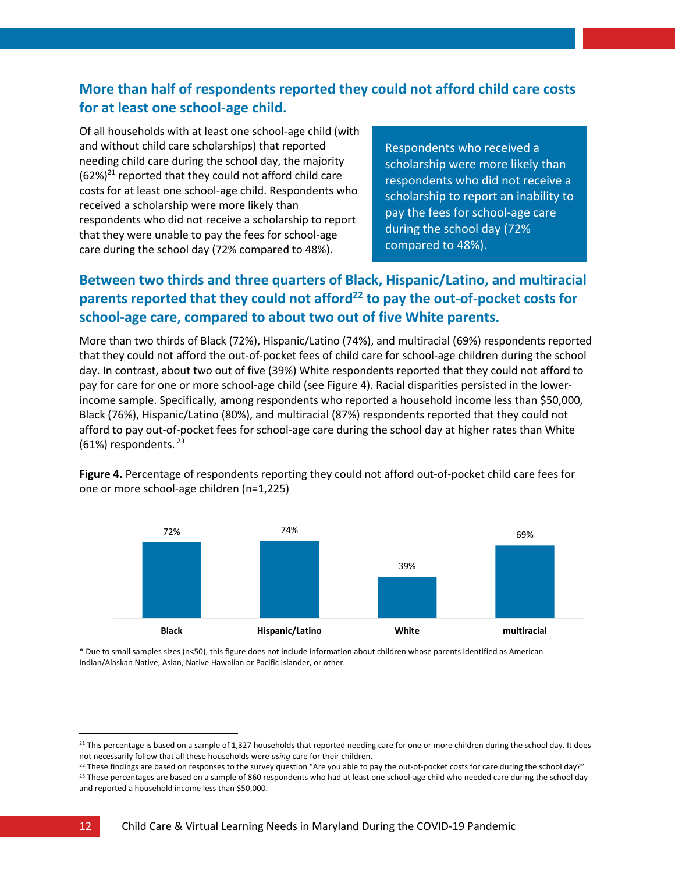#### **More than half of respondents reported they could not afford child care costs for at least one school-age child.**

Of all households with at least one school-age child (with and without child care scholarships) that reported needing child care during the school day, the majority  $(62\%)<sup>21</sup>$  reported that they could not afford child care costs for at least one school-age child. Respondents who received a scholarship were more likely than respondents who did not receive a scholarship to report that they were unable to pay the fees for school-age care during the school day (72% compared to 48%).

Respondents who received a scholarship were more likely than respondents who did not receive a scholarship to report an inability to pay the fees for school-age care during the school day (72% compared to 48%).

### **Between two thirds and three quarters of Black, Hispanic/Latino, and multiracial**  parents reported that they could not afford<sup>22</sup> to pay the out-of-pocket costs for **school-age care, compared to about two out of five White parents.**

More than two thirds of Black (72%), Hispanic/Latino (74%), and multiracial (69%) respondents reported that they could not afford the out-of-pocket fees of child care for school-age children during the school day. In contrast, about two out of five (39%) White respondents reported that they could not afford to pay for care for one or more school-age child (see Figure 4). Racial disparities persisted in the lowerincome sample. Specifically, among respondents who reported a household income less than \$50,000, Black (76%), Hispanic/Latino (80%), and multiracial (87%) respondents reported that they could not afford to pay out-of-pocket fees for school-age care during the school day at higher rates than White  $(61%)$  respondents.  $^{23}$ 

**Figure 4.** Percentage of respondents reporting they could not afford out-of-pocket child care fees for one or more school-age children (n=1,225)



\* Due to small samples sizes (n<50), this figure does not include information about children whose parents identified as American Indian/Alaskan Native, Asian, Native Hawaiian or Pacific Islander, or other.

 $^{21}$  This percentage is based on a sample of 1,327 households that reported needing care for one or more children during the school day. It does not necessarily follow that all these households were *using* care for their children.

<sup>&</sup>lt;sup>22</sup> These findings are based on responses to the survey question "Are you able to pay the out-of-pocket costs for care during the school day?" <sup>23</sup> These percentages are based on a sample of 860 respondents who had at least one school-age child who needed care during the school day and reported a household income less than \$50,000.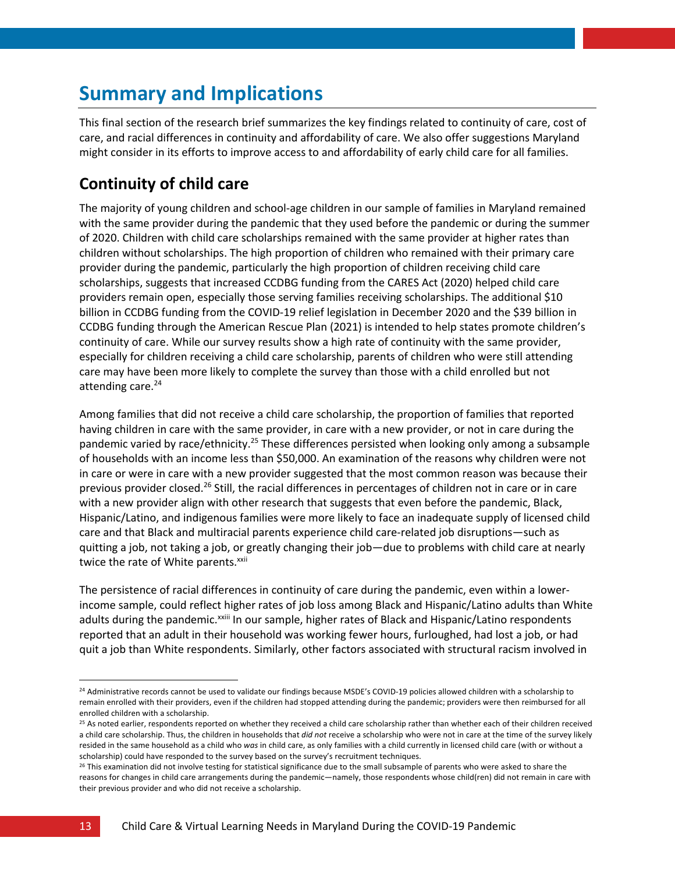# **Summary and Implications**

This final section of the research brief summarizes the key findings related to continuity of care, cost of care, and racial differences in continuity and affordability of care. We also offer suggestions Maryland might consider in its efforts to improve access to and affordability of early child care for all families.

### **Continuity of child care**

The majority of young children and school-age children in our sample of families in Maryland remained with the same provider during the pandemic that they used before the pandemic or during the summer of 2020. Children with child care scholarships remained with the same provider at higher rates than children without scholarships. The high proportion of children who remained with their primary care provider during the pandemic, particularly the high proportion of children receiving child care scholarships, suggests that increased CCDBG funding from the CARES Act (2020) helped child care providers remain open, especially those serving families receiving scholarships. The additional \$10 billion in CCDBG funding from the COVID-19 relief legislation in December 2020 and the \$39 billion in CCDBG funding through the American Rescue Plan (2021) is intended to help states promote children's continuity of care. While our survey results show a high rate of continuity with the same provider, especially for children receiving a child care scholarship, parents of children who were still attending care may have been more likely to complete the survey than those with a child enrolled but not attending care.<sup>24</sup>

Among families that did not receive a child care scholarship, the proportion of families that reported having children in care with the same provider, in care with a new provider, or not in care during the pandemic varied by race/ethnicity.<sup>25</sup> These differences persisted when looking only among a subsample of households with an income less than \$50,000. An examination of the reasons why children were not in care or were in care with a new provider suggested that the most common reason was because their previous provider closed.<sup>26</sup> Still, the racial differences in percentages of children not in care or in care with a new provider align with other research that suggests that even before the pandemic, Black, Hispanic/Latino, and indigenous families were more likely to face an inadequate supply of licensed child care and that Black and multiracial parents experience child care-related job disruptions—such as quitting a job, not taking a job, or greatly changing their job—due to problems with child care at nearly twice the rate of White parents.<sup>xxii</sup>

The persistence of racial differences in continuity of care during the pandemic, even within a lowerincome sample, could reflect higher rates of job loss among Black and Hispanic/Latino adults than White adults during the pandemic.<sup>xxiii</sup> In our sample, higher rates of Black and Hispanic/Latino respondents reported that an adult in their household was working fewer hours, furloughed, had lost a job, or had quit a job than White respondents. Similarly, other factors associated with structural racism involved in

<sup>&</sup>lt;sup>24</sup> Administrative records cannot be used to validate our findings because MSDE's COVID-19 policies allowed children with a scholarship to remain enrolled with their providers, even if the children had stopped attending during the pandemic; providers were then reimbursed for all enrolled children with a scholarship.

<sup>&</sup>lt;sup>25</sup> As noted earlier, respondents reported on whether they received a child care scholarship rather than whether each of their children received a child care scholarship. Thus, the children in households that *did not* receive a scholarship who were not in care at the time of the survey likely resided in the same household as a child who *was* in child care, as only families with a child currently in licensed child care (with or without a scholarship) could have responded to the survey based on the survey's recruitment techniques.

<sup>&</sup>lt;sup>26</sup> This examination did not involve testing for statistical significance due to the small subsample of parents who were asked to share the reasons for changes in child care arrangements during the pandemic—namely, those respondents whose child(ren) did not remain in care with their previous provider and who did not receive a scholarship.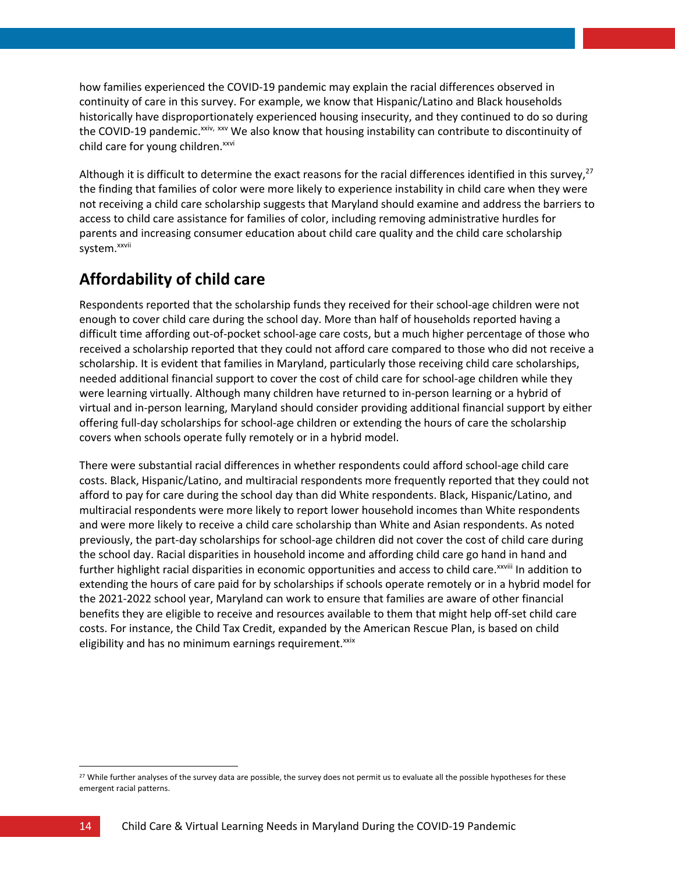how families experienced the COVID-19 pandemic may explain the racial differences observed in continuity of care in this survey. For example, we know that Hispanic/Latino and Black households historically have disproportionately experienced housing insecurity, and they continued to do so during the COVID-19 pandemic.<sup>xxiv, xxv</sup> We also know that housing instability can contribute to discontinuity of child care for young children.<sup>xxvi</sup>

Although it is difficult to determine the exact reasons for the racial differences identified in this survey,<sup>27</sup> the finding that families of color were more likely to experience instability in child care when they were not receiving a child care scholarship suggests that Maryland should examine and address the barriers to access to child care assistance for families of color, including removing administrative hurdles for parents and increasing consumer education about child care quality and the child care scholarship system. xxvii

# **Affordability of child care**

Respondents reported that the scholarship funds they received for their school-age children were not enough to cover child care during the school day. More than half of households reported having a difficult time affording out-of-pocket school-age care costs, but a much higher percentage of those who received a scholarship reported that they could not afford care compared to those who did not receive a scholarship. It is evident that families in Maryland, particularly those receiving child care scholarships, needed additional financial support to cover the cost of child care for school-age children while they were learning virtually. Although many children have returned to in-person learning or a hybrid of virtual and in-person learning, Maryland should consider providing additional financial support by either offering full-day scholarships for school-age children or extending the hours of care the scholarship covers when schools operate fully remotely or in a hybrid model.

There were substantial racial differences in whether respondents could afford school-age child care costs. Black, Hispanic/Latino, and multiracial respondents more frequently reported that they could not afford to pay for care during the school day than did White respondents. Black, Hispanic/Latino, and multiracial respondents were more likely to report lower household incomes than White respondents and were more likely to receive a child care scholarship than White and Asian respondents. As noted previously, the part-day scholarships for school-age children did not cover the cost of child care during the school day. Racial disparities in household income and affording child care go hand in hand and further highlight racial disparities in economic opportunities and access to child care.<sup>xxviii</sup> In addition to extending the hours of care paid for by scholarships if schools operate remotely or in a hybrid model for the 2021-2022 school year, Maryland can work to ensure that families are aware of other financial benefits they are eligible to receive and resources available to them that might help off-set child care costs. For instance, the Child Tax Credit, expanded by the American Rescue Plan, is based on child eligibility and has no minimum earnings requirement.<sup>xxix</sup>

<sup>&</sup>lt;sup>27</sup> While further analyses of the survey data are possible, the survey does not permit us to evaluate all the possible hypotheses for these emergent racial patterns.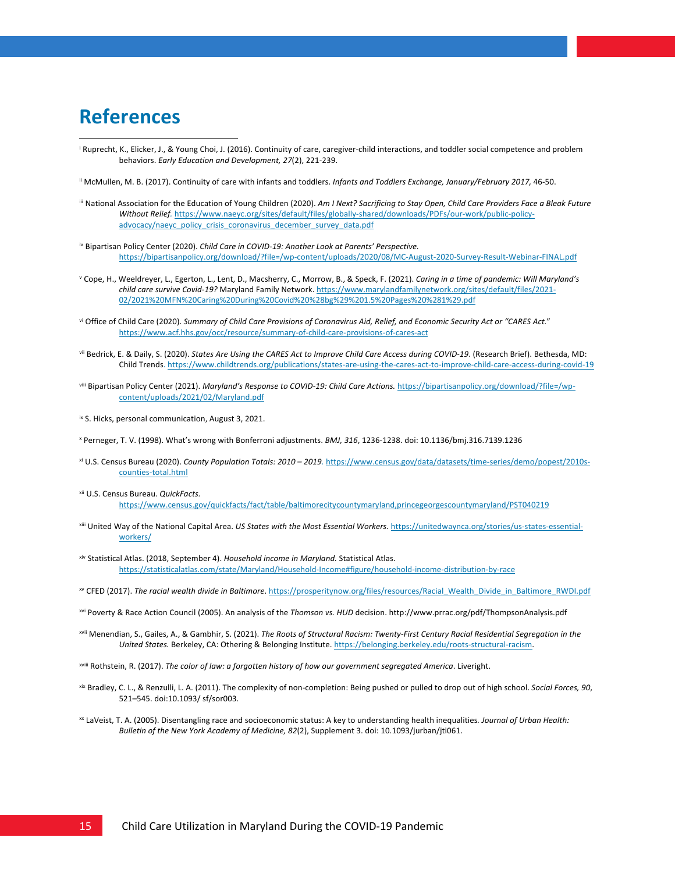# **References**

- <sup>i</sup> Ruprecht, K., Elicker, J., & Young Choi, J. (2016). Continuity of care, caregiver-child interactions, and toddler social competence and problem behaviors. *Early Education and Development, 27*(2), 221-239.
- ii McMullen, M. B. (2017). Continuity of care with infants and toddlers. *Infants and Toddlers Exchange, January/February 2017,* 46-50.
- iii National Association for the Education of Young Children (2020). Am I Next? Sacrificing to Stay Open, Child Care Providers Face a Bleak Future *Without Relief.* https://www.naeyc.org/sites/default/files/globally-shared/downloads/PDFs/our-work/public-policyadvocacy/naeyc\_policy\_crisis\_coronavirus\_december\_survey\_data.pdf
- iv Bipartisan Policy Center (2020). *Child Care in COVID-19: Another Look at Parents' Perspective.* https://bipartisanpolicy.org/download/?file=/wp-content/uploads/2020/08/MC-August-2020-Survey-Result-Webinar-FINAL.pdf
- <sup>v</sup> Cope, H., Weeldreyer, L., Egerton, L., Lent, D., Macsherry, C., Morrow, B., & Speck, F. (2021). *Caring in a time of pandemic: Will Maryland's child care survive Covid-19?* Maryland Family Network. https://www.marylandfamilynetwork.org/sites/default/files/2021- 02/2021%20MFN%20Caring%20During%20Covid%20%28bg%29%201.5%20Pages%20%281%29.pdf
- vi Office of Child Care (2020). *Summary of Child Care Provisions of Coronavirus Aid, Relief, and Economic Security Act or "CARES Act.*" https://www.acf.hhs.gov/occ/resource/summary-of-child-care-provisions-of-cares-act
- vii Bedrick, E. & Daily, S. (2020). *States Are Using the CARES Act to Improve Child Care Access during COVID-19*. (Research Brief). Bethesda, MD: Child Trends. https://www.childtrends.org/publications/states-are-using-the-cares-act-to-improve-child-care-access-during-covid-19
- viii Bipartisan Policy Center (2021). *Maryland's Response to COVID-19: Child Care Actions.* https://bipartisanpolicy.org/download/?file=/wpcontent/uploads/2021/02/Maryland.pdf
- ix S. Hicks, personal communication, August 3, 2021.
- <sup>x</sup> Perneger, T. V. (1998). What's wrong with Bonferroni adjustments. *BMJ, 316*, 1236-1238. doi: 10.1136/bmj.316.7139.1236
- xi U.S. Census Bureau (2020). *County Population Totals: 2010 – 2019.* https://www.census.gov/data/datasets/time-series/demo/popest/2010scounties-total.html
- xii U.S. Census Bureau. *QuickFacts.* https://www.census.gov/quickfacts/fact/table/baltimorecitycountymaryland,princegeorgescountymaryland/PST040219
- xiii United Way of the National Capital Area. *US States with the Most Essential Workers.* [https://unitedwaynca.org/stories/us-states-essential](https://unitedwaynca.org/stories/us-states-essential-workers/)[workers/](https://unitedwaynca.org/stories/us-states-essential-workers/)
- xiv Statistical Atlas. (2018, September 4). *Household income in Maryland.* Statistical Atlas. https://statisticalatlas.com/state/Maryland/Household-Income#figure/household-income-distribution-by-race
- xv CFED (2017). *The racial wealth divide in Baltimore*. https://prosperitynow.org/files/resources/Racial\_Wealth\_Divide\_in\_Baltimore\_RWDI.pdf
- xvi Poverty & Race Action Council (2005). An analysis of the *Thomson vs. HUD* decision. http://www.prrac.org/pdf/ThompsonAnalysis.pdf
- xvii Menendian, S., Gailes, A., & Gambhir, S. (2021). *The Roots of Structural Racism: Twenty-First Century Racial Residential Segregation in the United States.* Berkeley, CA: Othering & Belonging Institute. https://belonging.berkeley.edu/roots-structural-racism.
- xviii Rothstein, R. (2017). *The color of law: a forgotten history of how our government segregated America*. Liveright.
- xix Bradley, C. L., & Renzulli, L. A. (2011). The complexity of non-completion: Being pushed or pulled to drop out of high school. *Social Forces, 90*, 521–545. doi:10.1093/ sf/sor003.
- xx LaVeist, T. A. (2005). Disentangling race and socioeconomic status: A key to understanding health inequalities*. Journal of Urban Health: Bulletin of the New York Academy of Medicine, 82*(2), Supplement 3. doi: 10.1093/jurban/jti061.